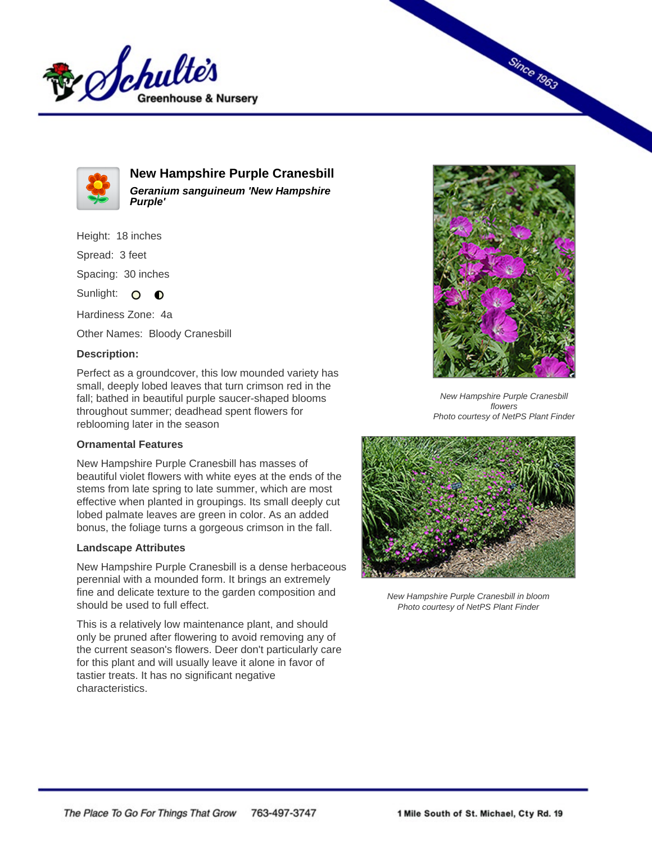



**New Hampshire Purple Cranesbill Geranium sanguineum 'New Hampshire Purple'**

Height: 18 inches

Spread: 3 feet

Spacing: 30 inches

Sunlight: O  $\bullet$ 

Hardiness Zone: 4a

Other Names: Bloody Cranesbill

## **Description:**

Perfect as a groundcover, this low mounded variety has small, deeply lobed leaves that turn crimson red in the fall; bathed in beautiful purple saucer-shaped blooms throughout summer; deadhead spent flowers for reblooming later in the season

## **Ornamental Features**

New Hampshire Purple Cranesbill has masses of beautiful violet flowers with white eyes at the ends of the stems from late spring to late summer, which are most effective when planted in groupings. Its small deeply cut lobed palmate leaves are green in color. As an added bonus, the foliage turns a gorgeous crimson in the fall.

## **Landscape Attributes**

New Hampshire Purple Cranesbill is a dense herbaceous perennial with a mounded form. It brings an extremely fine and delicate texture to the garden composition and should be used to full effect.

This is a relatively low maintenance plant, and should only be pruned after flowering to avoid removing any of the current season's flowers. Deer don't particularly care for this plant and will usually leave it alone in favor of tastier treats. It has no significant negative characteristics.



**Since 1963** 

New Hampshire Purple Cranesbill flowers Photo courtesy of NetPS Plant Finder



New Hampshire Purple Cranesbill in bloom Photo courtesy of NetPS Plant Finder